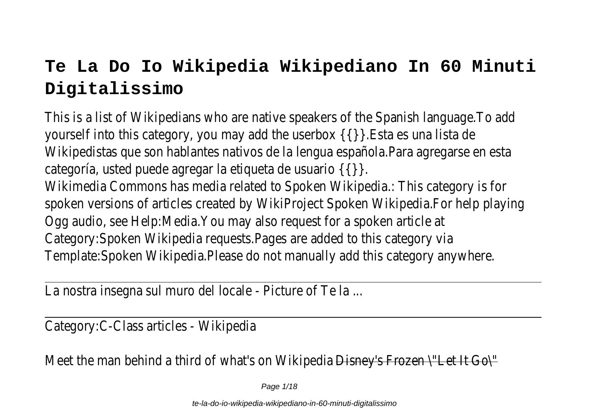# **Te La Do Io Wikipedia Wikipediano In 60 Minuti Digitalissimo**

This is a list of Wikipedians who are native speakers of the Spanish language. yourself into this category, you may add the userbox  $\{\{\}\}$ . Esta es una l Wikipedistas que son hablantes nativos de la lengua española. Para agregarse en categoría, usted puede agregar la etiqueta de usuario Wikimedia Commons has media related to Spoken Wikipedia.: This category spoken versions of articles created by WikiProject Spoken Wikipedia.For help Ogg audio, see Help: Media. You may also request for a spoken article at the Media. You may also request for a spoken article Category: Spoken Wikipedia requests. Pages are added to this category: Spoken Wikipedia requests. Pages are added to this category: Template: Spoken Wikipedia. Please do not manually add this category any

La nostra insegna sul muro del locale - Picture of Te

Category: C-Class articles - Wikipe

Meet the man behind a third of what's on Wikipe  $\frac{1}{10}$  Disney's Frozen  $\frac{1}{10}$  Let It Go $\frac{1}{10}$ 

Page 1/18

te-la-do-io-wikipedia-wikipediano-in-60-minuti-digitalissimo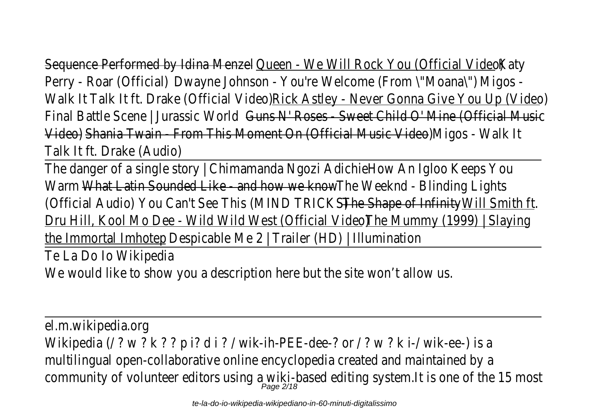Sequence Performed by Idina Menze Queen - We Will Rock You (Official Video) Katy Perry - Roar (Official) Dwayne Johnson - You're Welcome (From \"Moana\"Migos -Walk It Talk It ft. Drake (Official Video) Rick Astley - Never Gonna Give You Up (Vid Final Battle Scene | Jurassic World Guns N' Roses - Sweet Child O' Mine (Official M Video) Shania Twain - From This Moment On (Official Music Video) Migos - Walk It Talk It ft. Drake (Audi

The danger of a single story | Chimamanda Ngozi Adichidow An Igloo Keeps You Warm What Latin Sounded Like - and how we know e Weeknd - Blinding Lights (Official Audio) You Can't See This (MIND TRICKS) The Shape of Infinit Will Smith ft. Dru Hill, Kool Mo Dee - Wild Wild West (Official Video) The Mummy (1999) | Slavir the Immortal Imhotep Despicable Me  $2$  | Trailer (HD) | Illumina

Te La Do Io Wikiped

We would like to show you a description here but the site won't all

el.m.wikipedia.or Wikipedia (/ ? w ? k ? ? p i? d i ? / wik-ih-PEE-dee-? or / ? w ? k i-/ wik-of multilingual open-collaborative online encyclopedia created and maintaine community of volunteer editors using a wiki-based editing system.It is one of the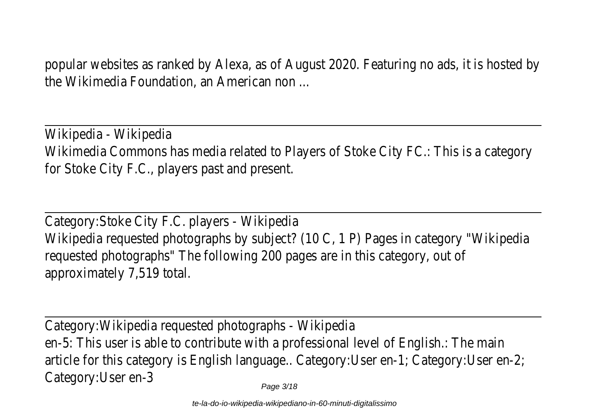popular websites as ranked by Alexa, as of August 2020. Featuring no ads, it is ho the Wikimedia Foundation, an American no

Wikipedia - Wikipedi Wikimedia Commons has media related to Players of Stoke City FC.: This is a ca for Stoke City F.C., players past and pres

Category: Stoke City F.C. players - Wikipedia Wikipedia requested photographs by subject? (10 C, 1 P) Pages in category "W requested photographs" The following 200 pages are in this category, approximately 7,519 tot

Category: Wikipedia requested photographs - Wikip en-5: This user is able to contribute with a professional level of English.: The article for this category is English language.. Category:User en-1; Category:Use Category:User en-

Page 3/18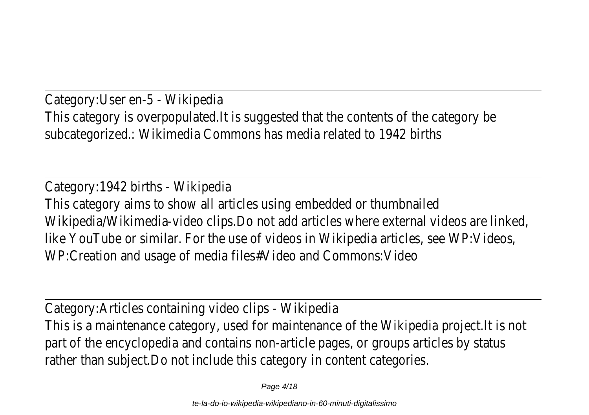Category: User en-5 - Wikiped This category is overpopulated.It is suggested that the contents of the cate subcategorized.: Wikimedia Commons has media related to 1942

Category: 1942 births - Wikipe This category aims to show all articles using embedded or thumb Wikipedia/Wikimedia-video clips.Do not add articles where external videos are like YouTube or similar. For the use of videos in Wikipedia articles, see WP: WP:Creation and usage of media files#Video and Commons:

Category: Articles containing video clips - Wikip This is a maintenance category, used for maintenance of the Wikipedia project. part of the encyclopedia and contains non-article pages, or groups articles by rather than subject. Do not include this category in content cate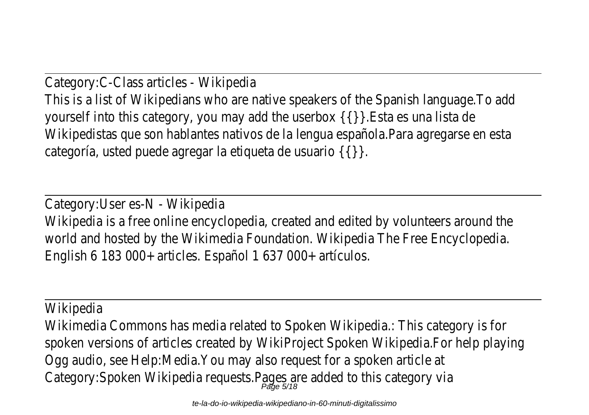Category: C-Class articles - Wikipe This is a list of Wikipedians who are native speakers of the Spanish language. yourself into this category, you may add the userbox  $\{\{\}\}$ . Esta es una l Wikipedistas que son hablantes nativos de la lengua española. Para agregarse en categoría, usted puede agregar la etiqueta de usuario

Category: User es-N - Wikiped Wikipedia is a free online encyclopedia, created and edited by volunteers around the wish of the theorists. world and hosted by the Wikimedia Foundation. Wikipedia The Free Encyclopedia English 6 183 000+ articles. Español 1 637 000+ artíc

**Wikipedia** 

Wikimedia Commons has media related to Spoken Wikipedia.: This category spoken versions of articles created by WikiProject Spoken Wikipedia.For help Ogg audio, see Help: Media. You may also request for a spoken article at Category:Spoken Wikipedia requests. $P_{\textit{age 5/18}}$  are added to this categi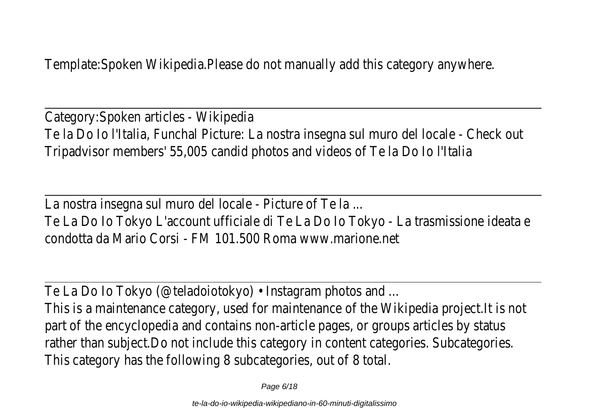Template: Spoken Wikipedia. Please do not manually add this category any

Category: Spoken articles - Wikipe Te la Do Io l'Italia, Funchal Picture: La nostra insegna sul muro del locale - Che Tripadvisor members' 55,005 candid photos and videos of Te la Do Io

La nostra insegna sul muro del locale - Picture of Te Te La Do lo Tokyo L'account ufficiale di Te La Do lo Tokyo - La trasmissione i condotta da Mario Corsi - FM 101.500 Roma www.mario

Te La Do lo Tokyo (@teladoiotokyo) • Instagram photos and ...

This is a maintenance category, used for maintenance of the Wikipedia project. part of the encyclopedia and contains non-article pages, or groups articles by rather than subject. Do not include this category in content categories. Subcategories This category has the following 8 subcategories, out of 8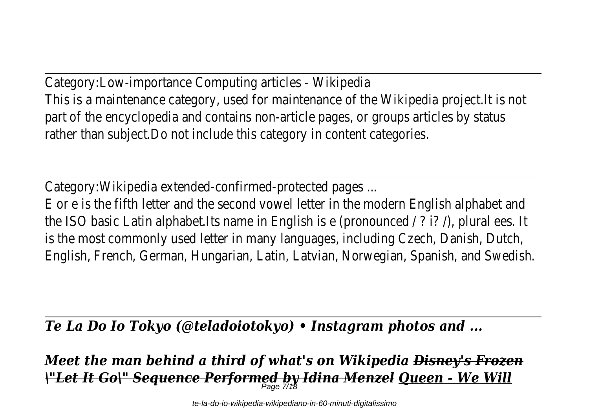Category:Low-importance Computing articles - Wikip This is a maintenance category, used for maintenance of the Wikipedia project. part of the encyclopedia and contains non-article pages, or groups articles by rather than subject. Do not include this category in content cate

Category: Wikipedia extended-confirmed-protected pace

E or e is the fifth letter and the second vowel letter in the modern English alpha the ISO basic Latin alphabet.Its name in English is e (pronounced  $/$  ? i?  $/$ ), plura is the most commonly used letter in many languages, including Czech, Danish, English, French, German, Hungarian, Latin, Latvian, Norwegian, Spanish, and Sy

*Te La Do Io Tokyo (@teladoiotokyo) • Instagram photos and ...*

*Meet the man behind a third of what's on Wikipedia Disney's Frozen \"Let It Go\" Sequence Performed by Idina Menzel Queen - We Will* Page 7/18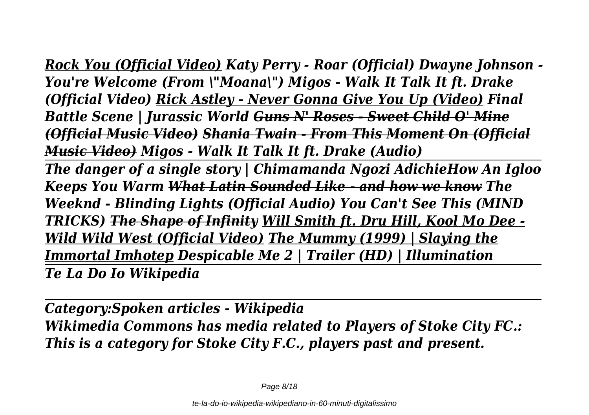*Rock You (Official Video) Katy Perry - Roar (Official) Dwayne Johnson - You're Welcome (From \"Moana\") Migos - Walk It Talk It ft. Drake (Official Video) Rick Astley - Never Gonna Give You Up (Video) Final Battle Scene | Jurassic World Guns N' Roses - Sweet Child O' Mine (Official Music Video) Shania Twain - From This Moment On (Official Music Video) Migos - Walk It Talk It ft. Drake (Audio)* 

*The danger of a single story | Chimamanda Ngozi AdichieHow An Igloo Keeps You Warm What Latin Sounded Like - and how we know The Weeknd - Blinding Lights (Official Audio) You Can't See This (MIND TRICKS) The Shape of Infinity Will Smith ft. Dru Hill, Kool Mo Dee - Wild Wild West (Official Video) The Mummy (1999) | Slaying the Immortal Imhotep Despicable Me 2 | Trailer (HD) | Illumination Te La Do Io Wikipedia*

*Category:Spoken articles - Wikipedia Wikimedia Commons has media related to Players of Stoke City FC.: This is a category for Stoke City F.C., players past and present.*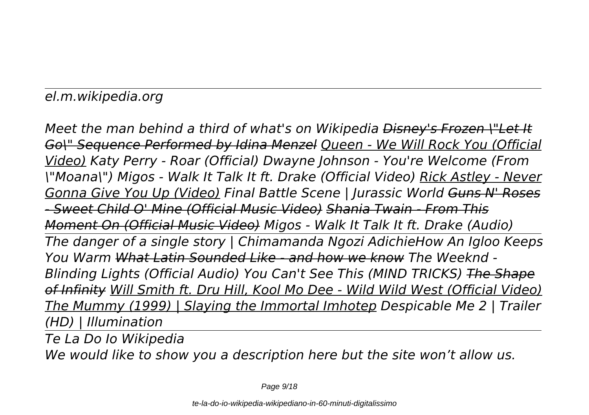# *el.m.wikipedia.org*

*Meet the man behind a third of what's on Wikipedia Disney's Frozen \"Let It Go\" Sequence Performed by Idina Menzel Queen - We Will Rock You (Official Video) Katy Perry - Roar (Official) Dwayne Johnson - You're Welcome (From \"Moana\") Migos - Walk It Talk It ft. Drake (Official Video) Rick Astley - Never Gonna Give You Up (Video) Final Battle Scene | Jurassic World Guns N' Roses - Sweet Child O' Mine (Official Music Video) Shania Twain - From This Moment On (Official Music Video) Migos - Walk It Talk It ft. Drake (Audio) The danger of a single story | Chimamanda Ngozi AdichieHow An Igloo Keeps You Warm What Latin Sounded Like - and how we know The Weeknd - Blinding Lights (Official Audio) You Can't See This (MIND TRICKS) The Shape of Infinity Will Smith ft. Dru Hill, Kool Mo Dee - Wild Wild West (Official Video) The Mummy (1999) | Slaying the Immortal Imhotep Despicable Me 2 | Trailer (HD) | Illumination* 

*Te La Do Io Wikipedia We would like to show you a description here but the site won't allow us.*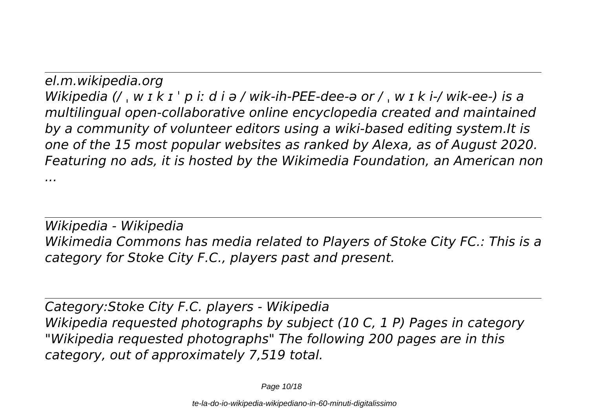*el.m.wikipedia.org Wikipedia (/ ˌ w ɪ k ɪ ˈ p iː d i ə / wik-ih-PEE-dee-ə or / ˌ w ɪ k i-/ wik-ee-) is a multilingual open-collaborative online encyclopedia created and maintained by a community of volunteer editors using a wiki-based editing system.It is one of the 15 most popular websites as ranked by Alexa, as of August 2020. Featuring no ads, it is hosted by the Wikimedia Foundation, an American non ...*

*Wikipedia - Wikipedia Wikimedia Commons has media related to Players of Stoke City FC.: This is a category for Stoke City F.C., players past and present.*

*Category:Stoke City F.C. players - Wikipedia Wikipedia requested photographs by subject (10 C, 1 P) Pages in category "Wikipedia requested photographs" The following 200 pages are in this category, out of approximately 7,519 total.*

Page 10/18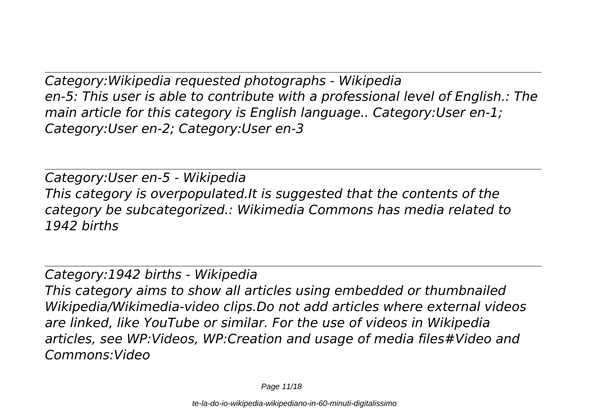*Category:Wikipedia requested photographs - Wikipedia en-5: This user is able to contribute with a professional level of English.: The main article for this category is English language.. Category:User en-1; Category:User en-2; Category:User en-3*

*Category:User en-5 - Wikipedia This category is overpopulated.It is suggested that the contents of the category be subcategorized.: Wikimedia Commons has media related to 1942 births*

*Category:1942 births - Wikipedia*

*This category aims to show all articles using embedded or thumbnailed Wikipedia/Wikimedia-video clips.Do not add articles where external videos are linked, like YouTube or similar. For the use of videos in Wikipedia articles, see WP:Videos, WP:Creation and usage of media files#Video and Commons:Video*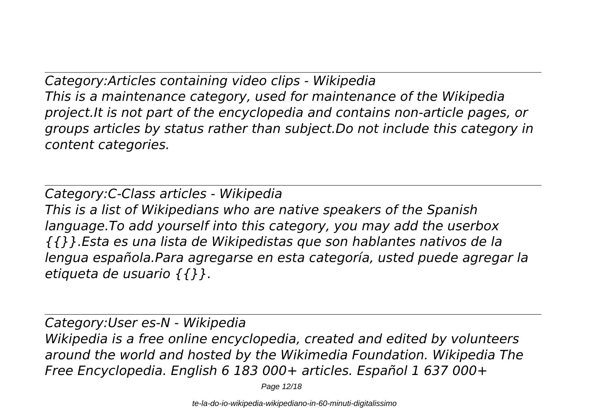*Category:Articles containing video clips - Wikipedia This is a maintenance category, used for maintenance of the Wikipedia project.It is not part of the encyclopedia and contains non-article pages, or groups articles by status rather than subject.Do not include this category in content categories.*

*Category:C-Class articles - Wikipedia This is a list of Wikipedians who are native speakers of the Spanish language.To add yourself into this category, you may add the userbox {{}}.Esta es una lista de Wikipedistas que son hablantes nativos de la lengua española.Para agregarse en esta categoría, usted puede agregar la etiqueta de usuario {{}}.*

*Category:User es-N - Wikipedia Wikipedia is a free online encyclopedia, created and edited by volunteers around the world and hosted by the Wikimedia Foundation. Wikipedia The Free Encyclopedia. English 6 183 000+ articles. Español 1 637 000+*

Page 12/18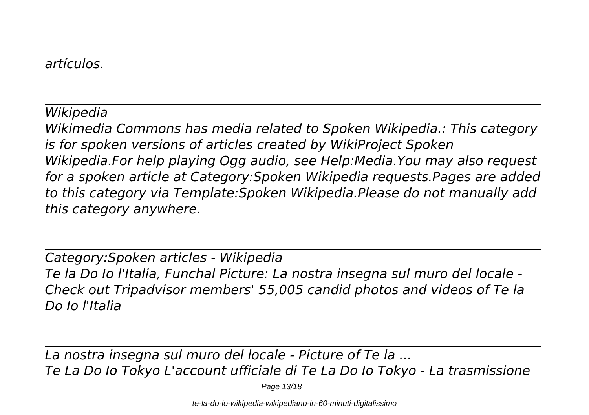#### *artículos.*

## *Wikipedia*

*Wikimedia Commons has media related to Spoken Wikipedia.: This category is for spoken versions of articles created by WikiProject Spoken Wikipedia.For help playing Ogg audio, see Help:Media.You may also request for a spoken article at Category:Spoken Wikipedia requests.Pages are added to this category via Template:Spoken Wikipedia.Please do not manually add this category anywhere.*

*Category:Spoken articles - Wikipedia Te la Do Io l'Italia, Funchal Picture: La nostra insegna sul muro del locale - Check out Tripadvisor members' 55,005 candid photos and videos of Te la Do Io l'Italia*

*La nostra insegna sul muro del locale - Picture of Te la ... Te La Do Io Tokyo L'account ufficiale di Te La Do Io Tokyo - La trasmissione*

Page 13/18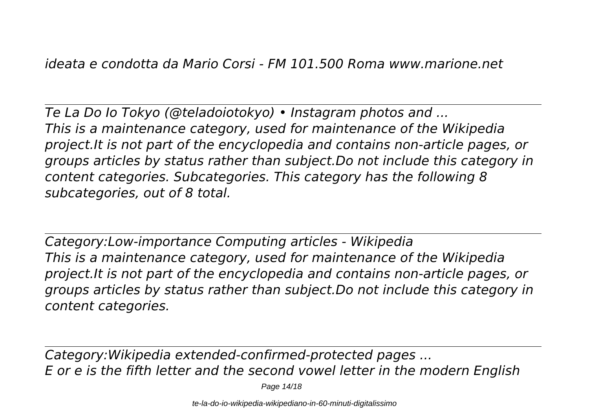*Te La Do Io Tokyo (@teladoiotokyo) • Instagram photos and ... This is a maintenance category, used for maintenance of the Wikipedia project.It is not part of the encyclopedia and contains non-article pages, or groups articles by status rather than subject.Do not include this category in content categories. Subcategories. This category has the following 8 subcategories, out of 8 total.*

*Category:Low-importance Computing articles - Wikipedia This is a maintenance category, used for maintenance of the Wikipedia project.It is not part of the encyclopedia and contains non-article pages, or groups articles by status rather than subject.Do not include this category in content categories.*

*Category:Wikipedia extended-confirmed-protected pages ... E or e is the fifth letter and the second vowel letter in the modern English*

Page 14/18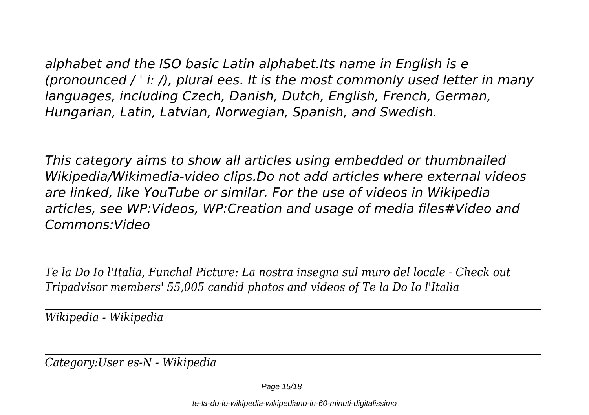*alphabet and the ISO basic Latin alphabet.Its name in English is e (pronounced / ˈ iː /), plural ees. It is the most commonly used letter in many languages, including Czech, Danish, Dutch, English, French, German, Hungarian, Latin, Latvian, Norwegian, Spanish, and Swedish.*

*This category aims to show all articles using embedded or thumbnailed Wikipedia/Wikimedia-video clips.Do not add articles where external videos are linked, like YouTube or similar. For the use of videos in Wikipedia articles, see WP:Videos, WP:Creation and usage of media files#Video and Commons:Video*

*Te la Do Io l'Italia, Funchal Picture: La nostra insegna sul muro del locale - Check out Tripadvisor members' 55,005 candid photos and videos of Te la Do Io l'Italia*

*Wikipedia - Wikipedia*

*Category:User es-N - Wikipedia*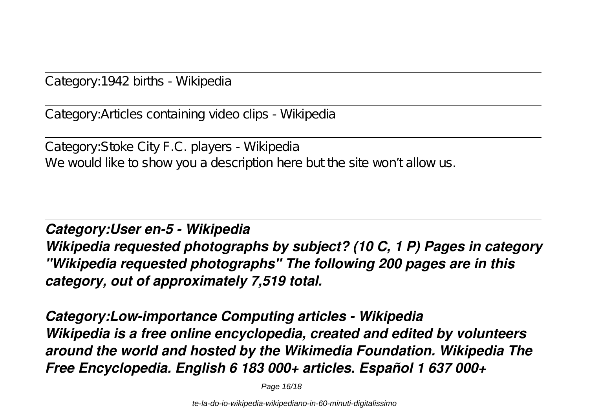Category:1942 births - Wikipedia

Category:Articles containing video clips - Wikipedia

Category:Stoke City F.C. players - Wikipedia We would like to show you a description here but the site won't allow us.

*Category:User en-5 - Wikipedia Wikipedia requested photographs by subject? (10 C, 1 P) Pages in category "Wikipedia requested photographs" The following 200 pages are in this category, out of approximately 7,519 total.*

*Category:Low-importance Computing articles - Wikipedia Wikipedia is a free online encyclopedia, created and edited by volunteers around the world and hosted by the Wikimedia Foundation. Wikipedia The Free Encyclopedia. English 6 183 000+ articles. Español 1 637 000+*

Page 16/18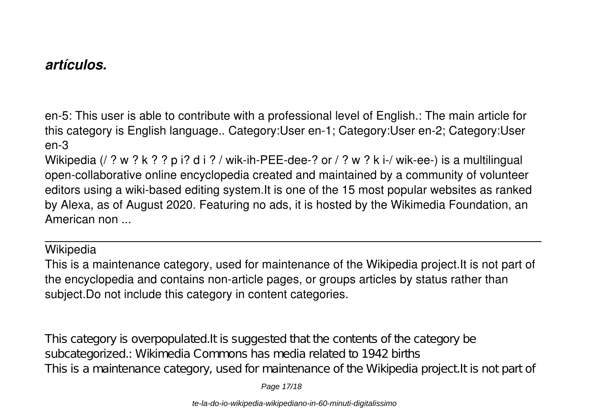## *artículos.*

en-5: This user is able to contribute with a professional level of English.: The main article for this category is English language.. Category:User en-1; Category:User en-2; Category:User en-3

Wikipedia (/ ? w ? k ? ? p i? d i ? / wik-ih-PEE-dee-? or / ? w ? k i-/ wik-ee-) is a multilingual open-collaborative online encyclopedia created and maintained by a community of volunteer editors using a wiki-based editing system.It is one of the 15 most popular websites as ranked by Alexa, as of August 2020. Featuring no ads, it is hosted by the Wikimedia Foundation, an American non ...

**Wikipedia** 

This is a maintenance category, used for maintenance of the Wikipedia project.It is not part of the encyclopedia and contains non-article pages, or groups articles by status rather than subject.Do not include this category in content categories.

This category is overpopulated.It is suggested that the contents of the category be subcategorized.: Wikimedia Commons has media related to 1942 births This is a maintenance category, used for maintenance of the Wikipedia project. It is not part of

Page 17/18